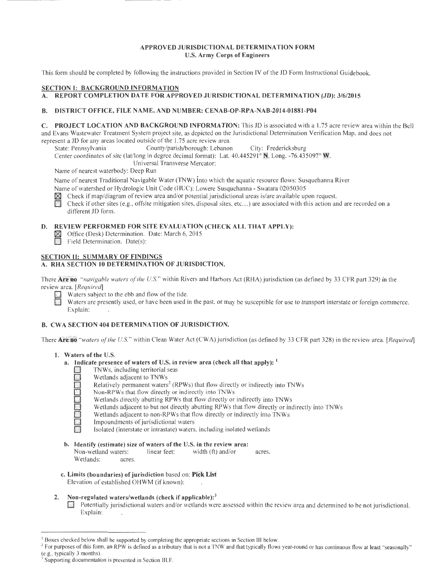# APPROVED JURISDICTIONAL DETERMINATION FORM U.S. Army Corps of Engineers

This form should be completed by following the instructions provided in Section IV of the JD Form Instructional Guidebook.

# SECTION 1: BACKGROUND INFORMATION

### A. REPORT COMPLETION DATE FOR APPROVED JURISDICTIONAL DETERMINATION (JD): 3/6/2015

#### B. DISTRICT OFFICE, FILE NAME, AND NUMBER: CENAB-OP-RPA-NAB-2014-0l881-P04

C. PROJECT LOCATION AND BACKGROUND INFORMATION: This JD is associated with a 1.75 acre review area within the Bell and Evans Wastewater Treatment System project site, as depicted on the Jurisdictional Determination Verification Map, and does not

represent a JD for any areas located outside of the 1.75 acre review area.<br>State: Pennsylvania County/parish/borough: Lebanon County/parish/borough: Lebanon City: Fredericksburg

Center coordinates of site (lat/long in degree decimal format): Lat.  $40.445291^\circ$  N, Long. -76.435097° W.

Universal Transverse Mercator:

Name of nearest waterbody: Deep Run

Name of nearest Traditional Navigable Water (TNW) into which the aquatic resource flows: Susquehanna River

Name of watershed or Hydrologic Unit Code (HUC): Lowere Susquehanna- Swatara 02050305

- $\boxtimes$  Check if map/diagram of review area and/or potential jurisdictional areas is/are available upon request.<br>Check if other sites (e.g., offsite mitigation sites, disposal sites, etc...) are associated with this action
- Check if other sites (e.g., offsite mitigation sites, disposal sites, etc...) are associated with this action and are recorded on a different JD form.

#### D. REVIEW PERFORMED FOR SITE EVALUATION (CHECK ALL THAT APPLY):

- ~ Office (Desk) Determination. Date: March 6, 2015
- Field Determination. Date(s):

#### SECTION II: SUMMARY OF FINDINGS A. RHA SECTION 10 DETERMINATION OF JURISDICTION.

There Are no "navigable waters of the U.S." within Rivers and Harbors Act (RHA) jurisdiction (as defined by 33 CFR part 329) in the review area. *[Required]* 

- Waters subject to the ebb and flow of the tide.
- Waters are presently used, or have been used in the past, or may be susceptible for use to transport interstate or foreign commerce. Explain:

# B. CWA SECTION 404 DETERMINATION OF JURISDICTION.

There **Are no** "waters of the U.S." within Clean Water Act (CWA) jurisdiction (as defined by 33 CFR part 328) in the review area. *[Required]* 

#### I. Waters of the U.S.

- **a.** Indicate presence of waters of U.S. in review area (check all that apply): <sup>1</sup><br>TNWs, including territorial seas<br>Wetlands adjacent to TNWs<br>Relatively permanent waters<sup>2</sup> (RPWs) that flow directly or indirectly in<br>Non-R
	- TNWs, including territorial seas<br>Wetlands adjacent to TNWs
	-
	- Relatively permanent waters<sup>2</sup> (RPWs) that flow directly or indirectly into TNWs
	- Non-RPWs that flow directly or indirectly into TNWs
	- Wetlands directly abutting RPWs that flow directly or indirectly into TNWs
	- Wetlands adjacent to but not directly abutting RPWs that flow directly or indirectly into TNWs
	- Wetlands adjacent to non-RPWs that flow directly or indirectly into TNWs
	- Impoundments of jurisdictional waters
	- Isolated (interstate or intrastate) waters, including isolated wetlands
- b. Identify (estimate) size of waters of the U.S. in the review area: Non-wetland waters: linear feet: width (ft) and/or acres. Wetlands: acres.
- c. Limits (boundaries) of jurisdiction based on: Pick List Elevation of established OHWM (if known):
- 2. Non-regulated waters/wetlands (check if applicable): $<sup>3</sup>$ </sup>
	- O. Potentially jurisdictional waters and/or wetlands were assessed within the review area and determined to be not jurisdictional. Explain:

<sup>&</sup>lt;sup>1</sup> Boxes checked below shall be supported by completing the appropriate sections in Section III below.<br><sup>2</sup> For purposes of this form, an RPW is defined as a tributary that is not a TNW and that typically flows year-round

Supporting documentation is presented in Section III.F.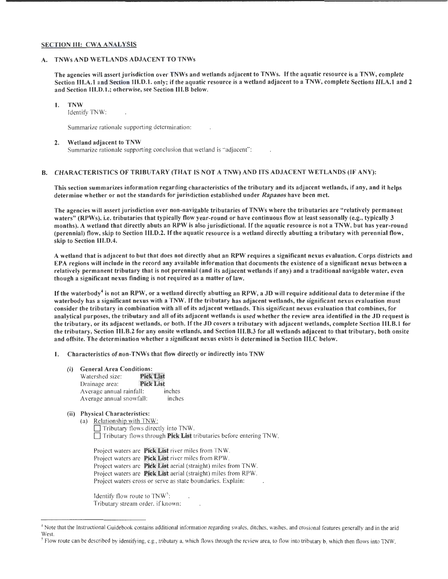#### SECTION III: CWA ANALYSIS

#### A. TNWs AND WETLANDS ADJACENT TO TNWs

The agencies will assert jurisdiction over TNWs and wetlands adjacent to TNWs. If the aquatic resource is a TNW, complete Section III.A.1 and Section III.D.1. only; if the aquatic resource is a wetland adjacent to a TNW, complete Sections III.A.1 and 2 and Section III.D.1.; otherwise, see Section III.B below.

# I. TNW

Identify TNW:

Summarize rationale supporting determination:

# 2. Wetland adjacent to TNW

Summarize rationale supporting conclusion that wetland is "adjacent":

#### B. CHARACTERISTICS OF TRIBUTARY (THAT IS NOT A TNW) AND ITS ADJACENT WETLANDS (IF ANY):

This section summarizes information regarding characteristics of the tributary and its adjacent wetlands, if any, and it helps determine whether or not the standards for jurisdiction established under *Rapanos* have been met.

The agencies will assert jurisdiction over non-navigable tributaries of TNWs where the tributaries are "relatively permanent waters" (RPWs), i.e. tributaries that typically flow year-round or have continuous flow at least seasonally (e.g., typically 3 months). A wetland that directly abuts an RPW is also jurisdictional. If the aquatic resource is not a TNW, but has year-round (perennial) flow, skip to Section III.D.2. If the aquatic resource is a wetland directly abutting a tributary with perennial flow, skip to Section lli.D.4.

A wetland that is adjacent to but that does not directly abut an RPW requires a significant nexus evaluation. Corps districts and EPA regions will include in the record any available information that documents the existence of a significant nexus between a relatively permanent tributary that is not perennial (and its adjacent wetlands if any) and a traditional navigable water, even though a significant nexus finding is not required as a matter of law.

If the waterbody<sup>4</sup> is not an RPW, or a wetland directly abutting an RPW, a JD will require additional data to determine if the waterbody has a significant nexus with a TNW. If the tributary has adjacent wetlands, the significant nexus evaluation must consider the tributary in combination with all of its adjacent wetlands. This significant nexus evaluation that combines, for analytical purposes, the tributary and all of its adjacent wetlands is used whether the review area identified in the JD request is the tributary, or its adjacent wetlands, or both. If the JD covers a tributary with adjacent wetlands, complete Section lli.B.l for the tributary, Section lli.B.2 for any onsite wetlands, and Section lli.B.3 for all wetlands adjacent to that tributary, both onsite and offsite. The determination whether a significant nexus exists is determined in Section III.C below.

I. Characteristics of non-TNWs that flow directly or indirectly into TNW

- (i) General Area Conditions:
	- Watershed size: **Pick List Pick List** Drainage area: Average annual rainfall: inches Average annual snowfall: inches
- (ii) Physical Characteristics:
	- (a) Relationship with TNW: Tributary flows directly into TNW.  $\Box$  Tributary flows through **Pick List** tributaries before entering TNW.

Project waters are Pick List river miles from TNW. Project waters are Pick List river miles from RPW. Project waters are Pick List aerial (straight) miles from TNW. Project waters are **Pick List** aerial (straight) miles from RPW. Project waters cross or serve as state boundaries. Explain:

Identify flow route to  $TNW^5$ : Tributary stream order, if known:

<sup>•</sup> Note that the Instructional Guidebook contains additional information regarding swales, ditches, washes, and erosional features generally and in the arid

<sup>&</sup>lt;sup>5</sup> Flow route can be described by identifying, e.g., tributary a, which flows through the review area, to flow into tributary b, which then flows into TNW.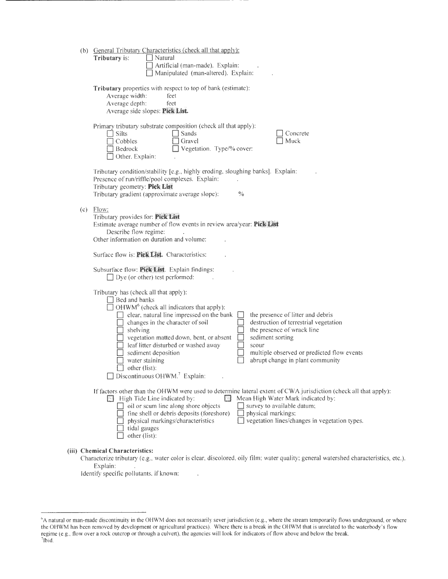|     | (b) General Tributary Characteristics (check all that apply):<br>Tributary is:<br>$\Box$ Natural<br>Artificial (man-made). Explain:<br>Manipulated (man-altered). Explain:                                                                                                                                                                                                                                                                                                                                                                                                                                                                     |
|-----|------------------------------------------------------------------------------------------------------------------------------------------------------------------------------------------------------------------------------------------------------------------------------------------------------------------------------------------------------------------------------------------------------------------------------------------------------------------------------------------------------------------------------------------------------------------------------------------------------------------------------------------------|
|     | Tributary properties with respect to top of bank (estimate):<br>Average width:<br>feet<br>Average depth:<br>feet<br>Average side slopes: Pick List.                                                                                                                                                                                                                                                                                                                                                                                                                                                                                            |
|     | Primary tributary substrate composition (check all that apply):<br>$\Box$ Silts<br>Sands<br>Concrete<br>Muck<br>Cobbles<br>Gravel<br>Vegetation. Type/% cover:<br>Bedrock<br>$\Box$ Other. Explain:                                                                                                                                                                                                                                                                                                                                                                                                                                            |
|     | Tributary condition/stability [e.g., highly eroding, sloughing banks]. Explain:<br>Presence of run/riffle/pool complexes. Explain:<br>Tributary geometry: Pick List<br>Tributary gradient (approximate average slope):<br>$\frac{0}{0}$                                                                                                                                                                                                                                                                                                                                                                                                        |
| (c) | Flow:<br>Tributary provides for: Pick List<br>Estimate average number of flow events in review area/year: Pick List<br>Describe flow regime:<br>Other information on duration and volume:                                                                                                                                                                                                                                                                                                                                                                                                                                                      |
|     | Surface flow is: Pick List. Characteristics:                                                                                                                                                                                                                                                                                                                                                                                                                                                                                                                                                                                                   |
|     | Subsurface flow: Pick List. Explain findings:<br>$\Box$ Dye (or other) test performed:                                                                                                                                                                                                                                                                                                                                                                                                                                                                                                                                                         |
|     | Tributary has (check all that apply):<br>$\Box$ Bed and banks<br>$\Box$ OHWM <sup>6</sup> (check all indicators that apply):<br>clear, natural line impressed on the bank<br>the presence of litter and debris<br>destruction of terrestrial vegetation<br>changes in the character of soil<br>the presence of wrack line<br>shelving<br>vegetation matted down, bent, or absent<br>sediment sorting<br>leaf litter disturbed or washed away<br>scour<br>sediment deposition<br>multiple observed or predicted flow events<br>abrupt change in plant community<br>water staining<br>other (list):<br>Discontinuous OHWM. <sup>7</sup> Explain: |
|     | If factors other than the OHWM were used to determine lateral extent of CWA jurisdiction (check all that apply):<br>Mean High Water Mark indicated by:<br>High Tide Line indicated by:<br>oil or scum line along shore objects<br>$\Box$ survey to available datum;<br>fine shell or debris deposits (foreshore)<br>physical markings:<br>vegetation lines/changes in vegetation types.<br>physical markings/characteristics<br>tidal gauges<br>other (list):                                                                                                                                                                                  |
|     | (iii) Chemical Characteristics:                                                                                                                                                                                                                                                                                                                                                                                                                                                                                                                                                                                                                |

Characterize tributary (e.g., water color is clear, discolored, oily film; water quality; general watershed characteristics, etc.). Explain:

Identify specific pollutants, if known:

 $\bar{\alpha}$ 

<sup>&</sup>lt;sup>6</sup>A natural or man-made discontinuity in the OHWM does not necessarily sever jurisdiction (e.g., where the stream temporarily flows underground, or where the OHWM has been removed by development or agricultural practices). Where there is a break in the OHWM that is unrelated to the waterbody's flow regime (e.g., flow over a rock outcrop or through a culvert), the agencies will look for indicators of flow above and below the break.<br><sup>7</sup>Ibid.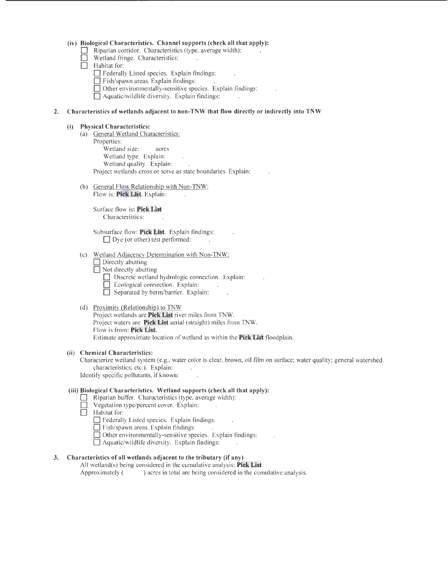# (iv) Biological Characteristics. Channel supports (check all that apply):<br> **Exercise** Riparian corridor. Characteristics (type, average width):<br> **Exercise** Wetland fringe. Characteristics:

- Riparian corridor. Characteristics (type, average width):
- $\Box$  Wetland fringe. Characteristics:<br>  $\Box$  Habitat for:
	- Habitat for:
		- D Federally Listed species. Explain findings:
		- Fish/spawn areas. Explain findings:
		- D Other environmentally-sensitive species. Explain findings:
		- $\Box$  Aquatic/wildlife diversity. Explain findings:

#### **2. Characteristics of wetlands adjacent to non-TNW that flow directly or indirectly into TNW**

#### **(i) Physical Characteristics:**

- (a) General Wetland Characteristics: Properties: Wetland size: acres Wetland type. Explain: Wetland quality. Explain: Project wetlands cross or serve as state boundaries. Explain:
- (b) General Flow Relationship with Non-TNW: Flow is: Pick List. Explain:

Surface flow is: Pick List Characteristics:

Subsurface flow: **Pick List**. Explain findings:  $\Box$  Dye (or other) test performed:

#### (c) Wetland Adjacency Determination with Non-TNW:

 $\Box$  Directly abutting

- D Not directly abutting
	- Discrete wetland hydrologic connection. Explain:
	- **Explain:** Ecological connection. Explain:
	- D Separated by berm/barrier. Explain:

#### (d) Proximity (Relationship) to TNW

Project wetlands are **Pick List** river miles from TNW. Project waters are **Pick List** aerial (straight) miles from TNW. Flow is from: Pick List. Estimate approximate location of wetland as within the **Pick List** floodplain.

#### **(ii) Chemical Characteristics:**

Characterize wetland system (e.g., water color is clear, brown, oil film on surface; water quality; general watershed characteristics; etc.). Explain:

Identify specific pollutants, if known:

# **(iii) Biological Characteristics. Wetland supports (check all that apply):**

- Riparian buffer. Characteristics (type, average width):<br>
Degetation type/percent cover. Explain:
	- Vegetation type/percent cover. Explain:
- D Habitat for:
	- $\Box$  Federally Listed species. Explain findings:
	- D Fish/spawn areas. Explain findings:
	- $\Box$  Other environmentally-sensitive species. Explain findings:
	- $\Box$  Aquatic/wildlife diversity. Explain findings:

# **3. Characteristics of all wetlands adjacent to the tributary (if any)**

All wetland(s) being considered in the cumulative analysis: **Pick List** Approximately () acres in total are being considered in the cumulative analysis.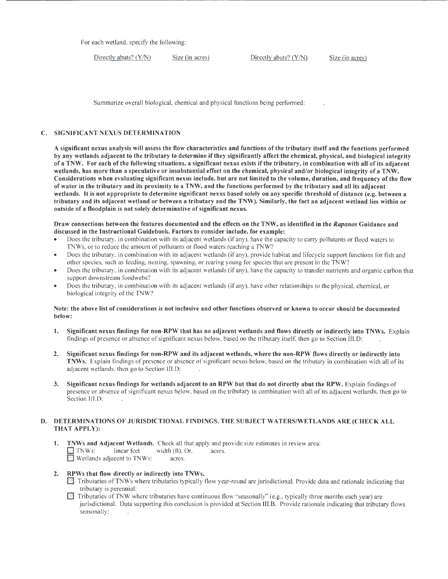For each wetland, specify the following:

Directly abuts? (Y/N) Size (in acres) Directly abuts? (Y/N) Size (in acres)

Summarize overall biological, chemical and physical functions being performed:

# C. SIGNIFICANT NEXUS DETERMINATION

A significant nexus analysis will assess the flow characteristics and functions of the tributary itself and the functions performed by any wetlands adjacent to the tributary to determine if they significantly affect the chemical, physical, and biological integrity of a TNW. For each of the following situations, a significant nexus exists ifthe tributary, in combination with all of its adjacent wetlands, has more than a speculative or insubstantial effect on the chemical, physical and/or biological integrity of a TNW. Considerations when evaluating significant nexus include, but are not limited to the volume, duration, and frequency of the flow of water in the tributary and its proximity to a TNW, and the functions performed by the tributary and all its adjacent wetlands. It is not appropriate to determine significant nexus based solely on any specific threshold of distance (e.g. between a tributary and its adjacent wetland or between a tributary and the TNW). Similarly, the fact an adjacent wetland lies within or outside of a floodplain is not solely determinative of significant nexus.

#### Draw connections between the features documented and the effects on the TNW, as identified in the *Rapanos* Guidance and discussed in the Instructional Guidebook. Factors to consider include, for example:

- Does the tributary, in combination with its adjacent wetlands (if any), have the capacity to carry pollutants or flood waters to TNWs, or to reduce the amount of pollutants or flood waters reaching a TNW?
- Does the tributary, in combination with its adjacent wetlands (if any), provide habitat and lifecycle support functions for fish and other species, such as feeding, nesting, spawning, or rearing young for species that are present in the TNW?
- Does the tributary, in combination with its adjacent wetlands (if any), have the capacity to transfer nutrients and organic carbon that support downstream foodwebs?
- Does the tributary, in combination with its adjacent wetlands (if any), have other relationships to the physical, chemical, or biological integrity of the TNW?

#### Note: the above list of considerations is not inclusive and other functions observed or known to occur should be documented below:

- 1. Significant nexus findings for non-RPW that has no adjacent wetlands and flows directly or indirectly into TNWs. Explain findings of presence or absence of significant nexus below, based on the tributary itself, then go to Section lll.D:
- 2. Significant nexus findings for non-RPW and its adjacent wetlands, where the non-RPW flows directly or indirectly into TNWs. Explain findings of presence or absence of significant nexus below, based on the tributary in combination with all of its adjacent wetlands, then go to Section 111.0:
- 3. Significant nexus findings for wetlands adjacent to an RPW but that do not directly abut the RPW. Explain findings of presence or absence of significant nexus below, based on the tributary in combination with all of its adjacent wetlands, then go to Section III.D:

# D. DETERMINATIONS OF JURISDICTIONAL FINDINGS. THE SUBJECT WATERS/WETLANDS ARE (CHECK ALL THAT APPLY):

- 1. TNWs and Adjacent Wetlands. Check all that apply and provide size estimates in review area:  $\Box$  TNWs: linear feet width (ft), Or, acres. **E** Wetlands adjacent to TNWs: acres.
- 2. RPWs that flow directly or indirectly into TNWs.
	- 0 Tributaries ofTNWs where tributaries typically flow year-round are jurisdictional. Provide data and rationale indicating that tributary is perennial:
	- $\Box$  Tributaries of TNW where tributaries have continuous flow "seasonally" (e.g., typically three months each year) are jurisdictional. Data supporting this conclusion is provided at Section Ill. B. Provide rationale indicating that tributary flows seasonally: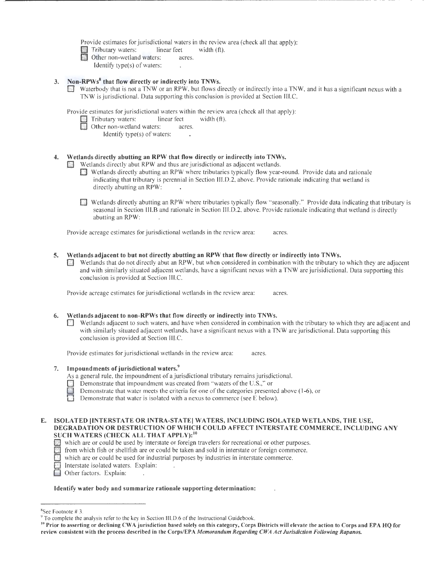Provide estimates for jurisdictional waters in the review area (check all that apply):

**Example 1** Tributary waters: linear feet width (ft).<br> **C**Other non-wetland waters: acres.

- - Identify type(s) of waters:

# 3. Non-RPWs<sup>8</sup> that flow directly or indirectly into TNWs.

0 Waterbody that is not a TNW or an RPW, but flows directly or indirectly into a TNW, and it has a significant nexus with a TNW is jurisdictional. Data supporting this conclusion is provided at Section lll.C.

Provide estimates for jurisdictional waters within the review area (check all that apply):<br>
Tributary waters: linear feet width (ft).

 $\cdot$ 

 $\ddot{\phantom{0}}$ 

- Tributary waters:
	- Other non-wetland waters: acres.
		- Identify type(s) of waters:

# 4. Wetlands directly abutting an RPW that flow directly or indirectly into TNWs.

- Wetlands directly abut RPW and thus are jurisdictional as adjacent wetlands.
- **Example 1** Wetlands directly abutting an RPW where tributaries typically flow year-round. Provide data and rationale indicating that tributary is perennial in Section lll.D.2, above. Provide rationale indicating that wetland is directly abutting an RPW:
- Wetlands directly abutting an RPW where tributaries typically flow "seasonally." Provide data indicating that tributary is seasonal in Section 111.8 and rationale in Section III.D.2, above. Provide rationale indicating that wetland is directly abutting an RPW:

Provide acreage estimates for jurisdictional wetlands in the review area: acres.

- 5. Wetlands adjacent to but not directly abutting an RPW that flow directly or indirectly into TNWs.
	- 01 Wetlands that do not directly abut an RPW, but when considered in combination with the tributary to which they are adjacent and with similarly situated adjacent wetlands, have a significant nexus with a TNW are jurisidictional. Data supporting this conclusion is provided at Section JII.C.

Provide acreage estimates for jurisdictional wetlands in the review area: acres.

# 6. Wetlands adjacent to non-RPWs that flow directly or indirectly into TNWs.

Wetlands adjacent to such waters, and have when considered in combination with the tributary to which they are adjacent and with similarly situated adjacent wetlands, have a significant nexus with a TNW are jurisdictional. Data supporting this conclusion is provided at Section IILC.

Provide estimates for jurisdictional wetlands in the review area: acres.

- 7. Impoundments of jurisdictional waters.<sup>9</sup>
	- As a general rule, the impoundment of a jurisdictional tributary remains jurisdictional.
	- **Demonstrate that impoundment was created from "waters of the U.S.," or**
	- Demonstrate that water meets the criteria for one of the categories presented above (1-6), or
	- Demonstrate that water is isolated with a nexus to commerce (see E below).

#### E. ISOLATED INTERSTATE OR INTRA-STATE WATERS, INCLUDING ISOLATED WETLANDS, THE USE, DEGRADATION OR DESTRUCTION OF WHICH COULD AFFECT INTERSTATE COMMERCE, INCLUDING ANY SUCH WATERS (CHECK ALL THAT APPLY):<sup>10</sup>

- $\Box$  which are or could be used by interstate or foreign travelers for recreational or other purposes.
- $\Box$  from which fish or shellfish are or could be taken and sold in interstate or foreign commerce.
- which are or could be used for industrial purposes by industries in interstate commerce.
- Interstate isolated waters. Explain:
- **[10]** Other factors. Explain:

#### Identify water body and summarize rationale supporting determination:

<sup>&</sup>lt;sup>8</sup>See Footnote #3.

 $\degree$  To complete the analysis refer to the key in Section III.D.6 of the Instructional Guidebook.

<sup>&</sup>lt;sup>10</sup> Prior to asserting or declining CWA jurisdiction based solely on this category, Corps Districts will elevate the action to Corps and EPA HQ for review consistent with the process described in the Corps/EPA *Memorandum Regarding CWA Act Jurisdiction Following Rapanos.*